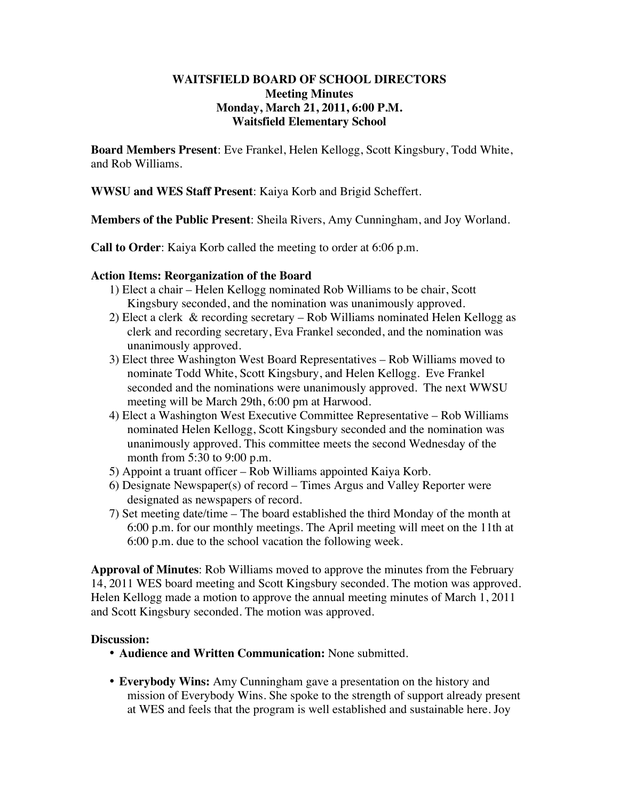## **WAITSFIELD BOARD OF SCHOOL DIRECTORS Meeting Minutes Monday, March 21, 2011, 6:00 P.M. Waitsfield Elementary School**

**Board Members Present**: Eve Frankel, Helen Kellogg, Scott Kingsbury, Todd White, and Rob Williams.

**WWSU and WES Staff Present**: Kaiya Korb and Brigid Scheffert.

**Members of the Public Present**: Sheila Rivers, Amy Cunningham, and Joy Worland.

**Call to Order**: Kaiya Korb called the meeting to order at 6:06 p.m.

## **Action Items: Reorganization of the Board**

- 1) Elect a chair Helen Kellogg nominated Rob Williams to be chair, Scott Kingsbury seconded, and the nomination was unanimously approved.
- 2) Elect a clerk & recording secretary Rob Williams nominated Helen Kellogg as clerk and recording secretary, Eva Frankel seconded, and the nomination was unanimously approved.
- 3) Elect three Washington West Board Representatives Rob Williams moved to nominate Todd White, Scott Kingsbury, and Helen Kellogg. Eve Frankel seconded and the nominations were unanimously approved. The next WWSU meeting will be March 29th, 6:00 pm at Harwood.
- 4) Elect a Washington West Executive Committee Representative Rob Williams nominated Helen Kellogg, Scott Kingsbury seconded and the nomination was unanimously approved. This committee meets the second Wednesday of the month from 5:30 to 9:00 p.m.
- 5) Appoint a truant officer Rob Williams appointed Kaiya Korb.
- 6) Designate Newspaper(s) of record Times Argus and Valley Reporter were designated as newspapers of record.
- 7) Set meeting date/time The board established the third Monday of the month at 6:00 p.m. for our monthly meetings. The April meeting will meet on the 11th at 6:00 p.m. due to the school vacation the following week.

**Approval of Minutes**: Rob Williams moved to approve the minutes from the February 14, 2011 WES board meeting and Scott Kingsbury seconded. The motion was approved. Helen Kellogg made a motion to approve the annual meeting minutes of March 1, 2011 and Scott Kingsbury seconded. The motion was approved.

### **Discussion:**

- **Audience and Written Communication:** None submitted.
- **Everybody Wins:** Amy Cunningham gave a presentation on the history and mission of Everybody Wins. She spoke to the strength of support already present at WES and feels that the program is well established and sustainable here. Joy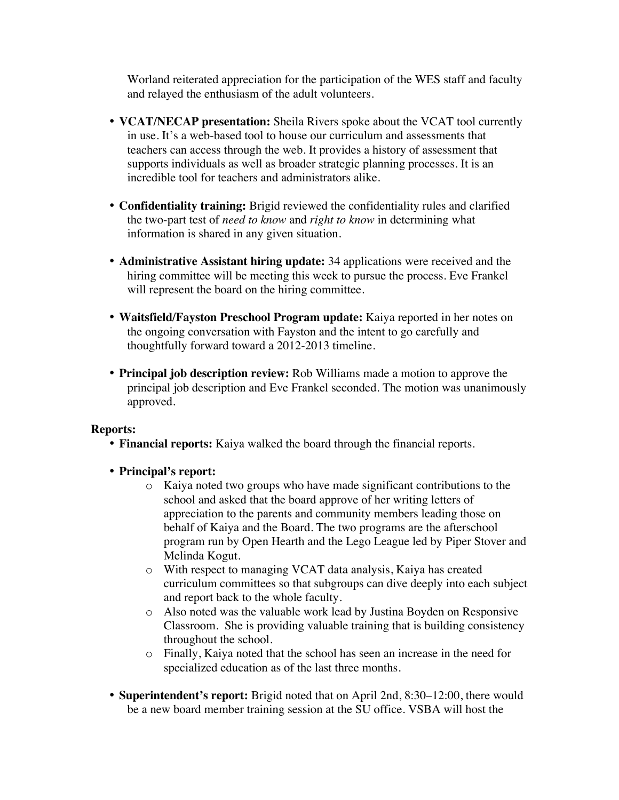Worland reiterated appreciation for the participation of the WES staff and faculty and relayed the enthusiasm of the adult volunteers.

- **VCAT/NECAP presentation:** Sheila Rivers spoke about the VCAT tool currently in use. It's a web-based tool to house our curriculum and assessments that teachers can access through the web. It provides a history of assessment that supports individuals as well as broader strategic planning processes. It is an incredible tool for teachers and administrators alike.
- **Confidentiality training:** Brigid reviewed the confidentiality rules and clarified the two-part test of *need to know* and *right to know* in determining what information is shared in any given situation.
- **Administrative Assistant hiring update:** 34 applications were received and the hiring committee will be meeting this week to pursue the process. Eve Frankel will represent the board on the hiring committee.
- **Waitsfield/Fayston Preschool Program update:** Kaiya reported in her notes on the ongoing conversation with Fayston and the intent to go carefully and thoughtfully forward toward a 2012-2013 timeline.
- **Principal job description review:** Rob Williams made a motion to approve the principal job description and Eve Frankel seconded. The motion was unanimously approved.

# **Reports:**

- **Financial reports:** Kaiya walked the board through the financial reports.
- **Principal's report:** 
	- o Kaiya noted two groups who have made significant contributions to the school and asked that the board approve of her writing letters of appreciation to the parents and community members leading those on behalf of Kaiya and the Board. The two programs are the afterschool program run by Open Hearth and the Lego League led by Piper Stover and Melinda Kogut.
	- o With respect to managing VCAT data analysis, Kaiya has created curriculum committees so that subgroups can dive deeply into each subject and report back to the whole faculty.
	- o Also noted was the valuable work lead by Justina Boyden on Responsive Classroom. She is providing valuable training that is building consistency throughout the school.
	- o Finally, Kaiya noted that the school has seen an increase in the need for specialized education as of the last three months.
- **Superintendent's report:** Brigid noted that on April 2nd, 8:30–12:00, there would be a new board member training session at the SU office. VSBA will host the